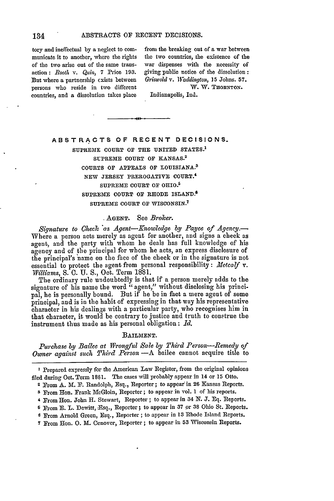municate it to another, where the rights the two countries, the existence of the of the two arise out of the same trans- war dispenses with the necessity of action: *Rooth v. Quin, 7* Price 193. giving public notice of the dissolution:<br>But where a partnership exists between *Griswold v. Waddington*, 15 Johns. 57. But where a partnership exists between *Griswold v. Waddington*, 15 Johns. 57.<br>
persons who reside in two different **W. W. THORNTON.** persons who reside in two different countries, **and** a dissolution takes place Indianapolis, Ind.

tory and ineffectual by a neglect to con- from the breaking out of **a** war between

### **ABSTRACTS OF RECENT DECISIONS.**

SUPREME **COURT OF THE UNITED STATES.' SUPREME COURT OF KANSAS.2 COURTS OF APPEALS OF LOUISIANA. <sup>s</sup> NEW JERSEY** PREROGATIVE COURT. <sup>4</sup> **SUPREME COURT OF OHIO. <sup>5</sup> SUPREME COURT OF RHODE ISLAND. <sup>6</sup> SUPREME COURT OF WISCONSIN. <sup>7</sup>**

# **.AGENT.** See *Broker.*

*Signature to* Checl. *\*as Agent-Knowledge by Payee of Agency.-* Where a person acts merely as agent for another, and signs a check as agent, and the party with whom he deals has full knowledge of his agency and of the principal for whom he acts, an express disclosure of the principal's 'name on the face of the check or in the signature is not essential to protect the agent from personal responsibility: Metcalf v. *Williams,* S. **0.** U. S., Oct. Term 1881.

The ordinary rule undoubtedly is that if a person merely adds to the signature of his name the word "agent," without disclosing his principal, he is personally bound. But if he be in fact a mere agent of some principal, and is in the habit of expressing in that way his representative character in his dealings with a particular party, who recognises him in that character, it would be contrary to justice and truth to construe the instrument thus made as his personal obligation: *Id.*

#### **BAILMENT.**

*Purchase by Bailee at W1rongful Sale by Third Person-Remedy of Owner against such Third Person* -A bailee cannot acquire title to

**I** Prepared expressly for the American Law Register, from the original opinions filed during Oct. Term 1881. The cases will probably appear in 14 or **15** Otto.

2 From A. M. F. Randolph, Esq., Reporter; to appear in **26** Kansas Reports.

**<sup>3</sup>**From Hon. Frank McGloin, Reporter; to appear in vol. **1** of his reports.

**<sup>4</sup>**From Hon. John H. Stewart, Reporter; to appear in 34 IN. **J.** Eq. Reports.

S From **E.** L. Dewitt, Esq., Reporter; to appear in 37 or **38** Ohio St. Reports.

**6** From Arnold Green, Esq., Reporter; to appear in 13 Rhode Island Reports.

**7** From Hon. **0.** M. Cenover, Reporter; to appear in **53** Wisconsin Reports.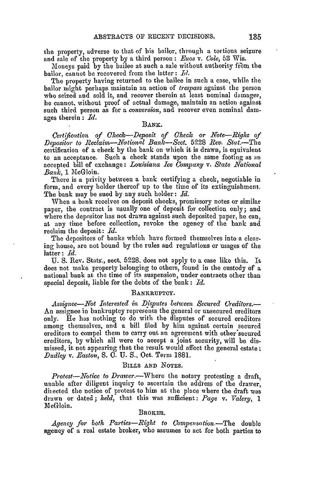the property, adverse to that of his bailor, through a tortious seizure and sale of the property by a third person **:** *Enos v. Cole,* 53 Wis.

Moneys paid by the bailee at such a sale without authority from the bailor, cannot be recovered from the latter: *Id.*

The property having returned to the bailee in such a case, while the bailor might perhaps maintain an action of *trespass* against the person who seized and sold it, and recover therein at least nominal damages, he cannot, without proof of actual damage, maintain an action against such third person as for a *conversion,* and recover even nominal damages therein : *Id.*

### BANK.

*Certification of Check-Deposit of Check or Note-Righr of Depositor to Reclaim-National Bank-Sct.* 5228 *Rev.* Stat.-The certification of a check by the bank on which it is drawn, is equivalent to an acceptance. Such a check stands upon the same footing as an accepted bill of exchange: *Louisiana Ice Company v. State National* Bank, 1 MeGloin.

There is a privity between a bank certifying a check, negotiable in form, and every holder thereof up to the time of its extinguishment. The bank may be sued by any such holder: *Id.*

When a bank receives on deposit checks, promissory notes or similar paper, the contract is usually one of deposit for collection only; and where the depositor has not drawn against such deposited paper, he can, at any time before collection, revoke the agency of the bank and reclaim the deposit: *Id.*

The depositors of banks which have formed themselves into a clearing house, are not bound by the rules and regulations or usages of the latter : *Id.*

U. S. Rev. Stats., sect. 5228, does not apply to a case like this. It does not make property belonging to others, found in the custody of a national bank at the time of its suspension, under contracts other than special deposit, liable for the debts of the bank: *Id.*

### BANKRUPTCY.

Assignee-Not Interested in Disputes between Secured Creditors.-An assignee in bankruptcy represents the general or unsecured creditors only. He has nothing to do with the disputes of secured creditors among themselves, and a bill filed by him against certain secured creditors to compel them to carry out an agreement with other'secured creditors, by which all were to accept a joint security, will be dismissed, it not appearing that the result would affect the general estate; *Dudley v. Easton,* S. **C.** U. S., Oct. Term 1881.

### BILLS **AND NOTES.**

*Protest-Notice to Drawer.-Where* the notary protesting a draft, unable after diligent inquiry to ascertain the address of the drawer, directed the notice of protest to him at the place where the draft was drawn or dated; *held,* that this was sufficient: *Page v. Valery, 1* McGloin.

#### BROKER.

*Agency for both Parties-Right to Compensation.-The* double agency of a real estate broker, who assumes to act for both parties to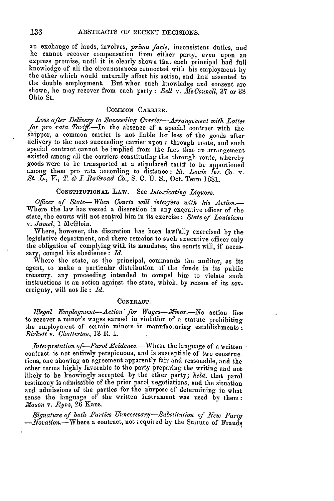an exchange of lands, involves, *prima facie,* inconsistent duties, and he cannot recover compensation from either party, even upon an express promise, until it is clearly shown that each principal had full knowledge of all the circumstances connected with his employment by the other which would naturally affect his action, and had assented to the double employment. But when such knowledge and consent are shown, he may recover from each party **:** *Bell v. McConnell,* 37 or 38 Ohio St.

### CoMMoN CARRIER.

*Loss after Delivery to Succeeding Carrier-Arrangement with Latter for pro rata Tarif-]n* the absence of a special contract with the shipper, a common carrier is not liable for loss of the goods after delivery to the next succeeding carrier upon a through route, and such special contract cannot be implied from the fact that an arrangement existed among all the carriers constituting the through route, whereby goods were to be transported at a stipulated tariff to be apportioned among them pro rata according to distance: *St. Louis Ins. Co. v. St. L., V., T. & I Railroad Co.,* S. **C.** U. S., Oct. Term 1881.

# **CONSTITUTIONAL** LAW. See *Intoxicating Liguors.*

*Officer of State- When Courts will interfere with his Action-*Where the law has vested a discretion in any executive officer of the state, the courts will not control him in its exercise: *State of Louisiana* v. *Jumel,* 1 McGloin.

Where, however, the discretion has been lawfully exercised by the legislative department, and there remains to such executive officer only the obligation of complying with its mandates, the courts will, if necessary, compel his obedience: *Id.*

Where the state, as the principal, commands the auditor, as its agent, to make a particular distribution of the funds in its public treasury. any proceeding intended to compel him to violate such instructions is an action against the state, which, by reason of its sovereignty, will not lie: *Id.*

### **CONTRACT.**

*Illegal Employment-Action for Wages-'fMinor.-No* action lies to recover a minor's wages earned in violation of a statute prohibiting the employment of certain minors in manufacturing establishments: *Birkett v. Chatterton,* 13 R. I.

*Interpretation of-Parol Evidence.*—Where the language of a written contract is not entirely perspicuous, and is susceptible of two constructions, one showing an agreement apparently fair and reasonable, and the other terms highly favorable to the party preparing the writing and not likely to be knowingly accepted by the other party; *held.* that parol testimony is admissible of the prior parol negotiations, and the situation *and* admissions of the parties for the purpose of determining in what sense the language of the written instrument was used by them: *Mason v. Ryns*, 26 Kans.

*Signature of both Pa'ties Unnecessary-Sustihttion of Kew Party -Novation.- Where* a contract, not **!** equired **by** the Statute of Frauds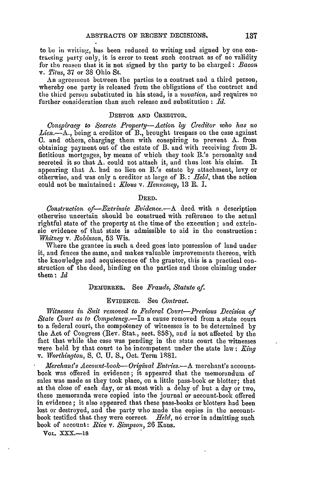to be in writiug, has been reduced to writing and signed by one contraccing party only, it is error to treat such contract as of no validity for the reason that it is not signed by the party to be charged: *Bacon v. Titus,* 37 or 38 Ohio St.

An agreement between the parties to a contract and a third person, whereby one party is released from the obligations of the contract and the third person substituted in his stead, is a *novation,* and requires no further consideration than such release and substitution : *Id.*

#### DEBTOR **AND** OREDITOR.

*Co piracy to ,Seerete Prop erty-Action by Creditor who has no Lien.-A.,* being a creditor of B., brought trespass on the case against **0.** and others, charging them with conspiring to prevent **A.** from obtaining payment out of the estate of B. and with receiving from B. fictitious mortgages, by means of which they took B.'s personalty and secreted it so that A. could not attach it, and thus lost his claim. It appearing that **A.** had no lien on B.'s estate by attachment, levy or otherwise, and was only a creditor at large of B.: *Held,* that the action could not be maintained: *.Kous v. Hennessey,* 13 R. I.

### **DEED.**

Construction of-*Extrinsic Evidence*.- A deed with a description otherwise uncertain should be construed with reference to the actual rightful state of the property at the time of the execution **;** and extrinsic evidence of that state is admissible to aid in the construction: *Whitney v. Robinson,* 53 Wis.

Where the grantee in such a deed goes into possession of land under it, and fences the same, and makes valuable improvements thereon, with the knowledge and acquiescence of the grantor, this is a practical construction of the deed, binding on the parties and those claiming under them **:** *Id*

### DEMURRER. See *Frauds, Statute of.*

#### **EVIDENCE.** See *Contract.*

*Witnesses in Suit removed to Federal Court-Previous Decision of State Court as to Competency.-In* a cause removed from a state court to a federal court, the competency of witnesses is to be determined by the Act of Congress (Rev. Stat., sect. 858), and is not affected by the fact that while the case was pending in the state court the witnesses were held by that court to be incompetent under the state law **:** *M71,g v. Worthington,* S. **C. U. S.,** Oct. Term 18981.

*Merchant's Account-book*—*Original Entries.*—A merchant's accountbook was offered in evidence; it appeared that the memorandum of sales was made as they took place, on a little pass-book or blotter; that at the close of each day, or at most with a delay of but a day or two, these memoranda were copied into the journal or account-book offered in evidence; it also appeared that these pass-books or blotters had been lost or destroyed, and the party who made the copies in the accountbook testified that they were correct. Held, no error in admitting such book of account: *Rice v. Simpson,* 26 Kans.

VOL. XXX.-18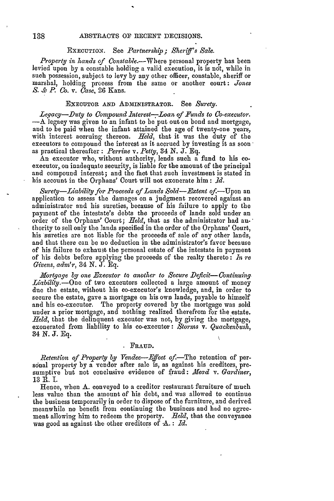# **EXECUTION.** See *Partnership; Sheri's Sale.*

*Property in hands cf Constable.--.Where* personal property has been levied upon by a constable holding a valid execution, it is ndt, while in such possession, subject to levy by any other officer, constable, sheriff or marshal, holding process from the same or another court: *Jones S. & P. Co. v. Case,* 26 Kans.

### **EXECUTOR AND** ADMINISTRATOR. See *Surety.*

*Leqacy-Duty to Compound Interest---Loan of Funds to Co-executor.*  $-A$  legacy was given to an infant to be put out on bond and mortgage, and to be paid when the infant attained the age of twenty-one years, with interest accruing thereon. *Held,* that it was the duty of the executors to compound the interest as it accrued by investing it as soon as practical thereafter: *Perrine v. Petty,* 34 *N. J.* Eq.

An executor who, without authority, lends such a fund to his coexecutor, on inadequate security, is liable for the amount of the principal and compound interest; and the fact that such investment is stated in his account in the Orphans' Court will not exonerate him: *Id.* 

*Surety-iability for Proceeds of Lands Sold-Ectent* of.-Upon an application to assess the damages on a judgment recovered against an administrator and his sureties, because of his failure to apply to the payment of the intestate's debts the proceeds of lands sold under an order of the Orphans' Court; *Held,* that as the administrator had authority to sell only the lands specified in the order of the Orphans' Court, his sureties are not liable for the proceeds of sale of any other lands, and that there can be no deduction in the administrator's favor because of his failure to exhaust the personal estate of the intestate in payment of his debts before applying the proceeds of the realty thereto : *In re Givens, adrn'r,* 34 *N.* J. Eq.

*Mortgage by one Executor to another to Secure Deficit-- Continuing Liability.-One* of two executors collected a large amount of money due the estate, without his co-executor's knowledge, and, in order to<br>secure the estate, gave a mortgage on his own lands, payable to himself and his co-executor. The property covered by the mortgage was sold under a prior mortgage, and nothing realized therefrom for the estate. *Held,* that the delinquent executor was not, by giving the mortgage, exonerated from liability to his co-executor: *Storms v. Quackenbush,* 34 *N. J.* Eq.

### FRAUD.

*Retention of Property by Vendee-Effect of.*-The retention of personal property by a vendor after sale is, as against his creditors, presumptive but not conclusive evidence of fraud: *fead v. Gardiner,* 13 R. **I.**

Hence, when A. conveyed to a creditor restaurant furniture of much less value than the amount of his debt, and was allowed to continue the business temporarily in order to dispose of the furniture, and derived meanwhile no benefit from continuing the business and had no agreement allowing him to redeem the property. *Reld,* that the conveyance was good as against the other creditors of A.: Id.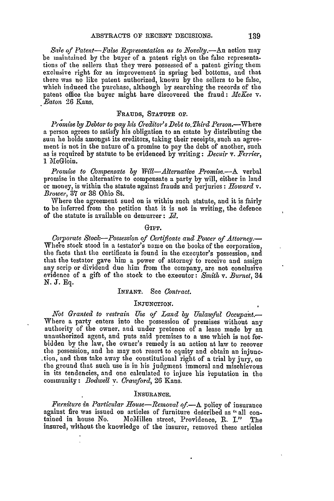*Sale of Patent-False Representation as to Novelty.-Au* action may be maintained by the buyer of a patent right on the false representations of the sellers that they were possessed of a patent giving them exclusive right for an improvement in spring bed bottoms, and that there was no like patent authorized, known by the sellers to be false, which induced the purchase, although by searching the records of the patent office the buyer might have discovered the fraud: *McKee v. Eaton* 26 Kans.

## **FRAUDS,** STATUTE OF.

*Promise by Debtor to pay his Creditor's Debt to Third Person.*—Where a person agrees to satisfy his obligation to an estate **by** distributing the sum he holds amongst its creditors, taking their receipts, such an agreement is not in the nature of a promise to pay the debt of another, such as **is** required **by** statute to **be** evidenced **by** writing: *Decuir* v. *Terrier,* 1 MeGloin.

*Promise to Compensate by Will-Alternative Promise.-A* verbal promise in the alternative to compensate **a** party by will, either in land or money, is within the statute against frauds and perjuries : *Howard v. Brower,* **37** or 38 Ohio St.

Where the agreement sued on is within such statute, and it is fairly to be inferred from the petition that it is not in writing, the defence of the statute is available on demurrer : *Id.*

#### GirT.

*Corporate Stock-Possession of Cbrtificate and Power of Attorney.-* Where stock stood in a testator's name on the books of the corporation, the facts that the certificate is found in the executor's possession, and that the testator gave him a power of attorney to receive and assign any scrip or dividend due him from the company, are not conclusive evidence of a gift of the stock to the executor: *Smith v. Burnet*, 34 N. **J.** Eq.

#### INFANT. See *Contract.*

#### **INJUNCTION.**

*Not Granted to restrain Use of Land by Unlawful Occupant.* Where a party enters into the possession of premises without any authority of the owner, and under pretence of a lease made by an unauthorized agent, and puts said premises to a use which is not forbidden by the law, the owner's remedy is an action at law to recover the possession, and he may not resort to equity and obtain an injunc- .tion, and thus take away the constitutional right of a trial by jury, on the ground that such use is in his judgment immoral and mischievous in its tendencies, and one calculated to injure his ieputation in the community: *Bodwell v. Crawford,* **26** Kans.

#### INSURANCE.

*Furniture in Particular House-Removal of.-A* policy of insurance against fire was issued on articles of furniture described as "all con-<br>tained in house No. 1cMillen street, Providence, R. I." The insured, without the knowledge of the insurer, removed these articles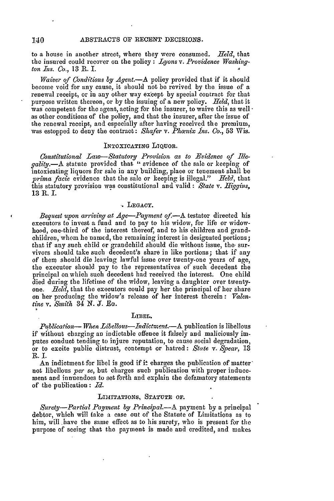#### 140 **ABSTRACTS OF** RECENT DECISIONS.

to a house in another street, where they were consumed. *Held,* that the insured could recover on the policy : *Lyons v. Providence Washington Ins. Co.*, 13 R. I.

*Waiver of Conditions by Agent.-A* policy provided that if it should become void for any cause, it should not be revived by the issue of a renewal receipt, or in any other way except by special contract for that purpose written thereon, or **by** the issuing of a new policy. *Held,* that it was competent for the agent, acting for the insurer, to waive this as well as other conditions of the policy, and that the insurer, after the issue of the renewal receipt, and especially after having received the premium, was estopped to deny the contract: *Shafer v. Phamix Ins. Co.,* **53** Wis.

# INTOXICATING LIQUOR.

Constitutional Law-Statutory Provision as to Evidence of Ille-<br>gality.-A statute provided that "evidence of the sale or keeping of intoxicating liquors for sale in any building, place or tenement shall be *prima facie* evidence that the sale or keeping is illegal." *Held,* that this statutory provision was constitutional and valid **:** *State v. Higgins,* 13 R. I.

#### LEGACY.

*Bequest upon arriving at Age-Payment of-.A* testator directed his executors to invest a fund and to pay to his widow, for life or widowhood, one-third of the interest thereof, and to his children and grandchildren, whom he named, the remaining interest in designated portions; that if any such child or grandchild should die without issue, the survivors should take such decedent's share in like portions; that if any of them should die leaving lawful issue over twenty-one years of age, the executor should pay to the representatives of such decedent the principal on which such decedent had received the interest. One child died during the lifetime of the widow, leaving a daughter over twentyone. *field,* that the executors could pay her the principal of her share on her producing the widow's release of her interest therein **:** *Valentine v. Smith* 34 N. *J.* **Eo.**

#### LIBEL.

*Publication—When Libellous—Indictment.*—A publication is libellous if without charging an indictable offence it falsely and maliciously **im**putes conduct tending to injure reputation, to cause social degradation, or to excite public distrust, contempt or hatred: *State v. Spear,* 13 R.I.

An indictment for libel is good if it charges the publication of matternot libellous *per se,* but charges such publication with proper inducement and innuendoes to set forth and explain the defamatory statements of the pullication : *Id.*

#### LIMITATIONS, STATUTE OF.

*Surety-Partial Payment by Principal.-A* payment by a principal debtor, which will take a case out of the Statute of Limitations as to him, will have the same effect as to his surety, who is present for the purpose of seeing that the payment is made and credited, and makes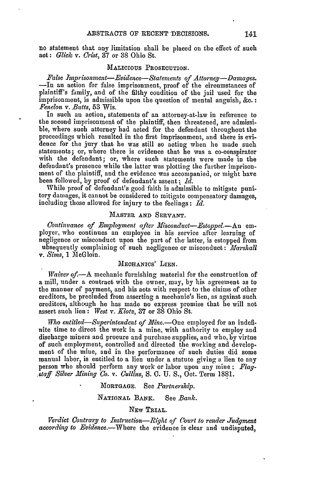no statement that any limitation shall be placed on the effect of such act: *Glick. v. Crist,* 37 or 38 Ohio St.

### **MALICIOUS PROSECUTION.**

False Imprisonment-Evidence-Statements of Attorney-Damages. -In an action for false imprisonment, proof of the circumstances of plaintiff's family, and of the filthy condition of the jail used for the imprisonment, is admissible upon the question of mental anguish, **&c.:** *Fenelon v. Butts,* 53 Wis.

In such an action, statements of an attorney-at-law in reference to the second imprisonment of the plaintiff, then threatened, are admissible, where such attorney had acted for the defendant throughout the proceedings which resulted in the first imprisonment, and there is evidence for the jury that he was still so acting when he made such statements; or, where there is evidence that he was a co-conspirator with the defendant; or, where such statements were made in the defendant's presence while the latter was plotting the further imprisonment of the plaintiff, and the evidence was accompanied, or might have been followed, by proof of defendant's assent: *id.*

While proof of defendant's good faith is admissible to mitigate punitory damages, it cannot be considered to mitigate compensatory damages, including those allowed for injury to the feelings : *Id.*

### MASTER **AND** SERVANT.

*Continuance of Employment after Misconduct-Estoppel.*-An em-<br>ployer, who continues an employee in his service after learning of negligence or misconduct upon the part of the latter, is estopped from ubsequently complaining of such negligence or misconduct: *Afarshall v. Sims,* 1 MeGloin.

### MECHANICS' **LIEN.**

*Waiver of.-A* mechanic furnishing material for the construction of a mill, under a contract with the owner, may, by his agreement as to the manner of payment, and his aets with respect to the claims of other creditors, be precluded from asserting a mechanic's lien, as against such creditors, although he has made no express promise that he will not assert such lien: *West v. Klotz,* 37 or 38 Ohio St.

*Who entitled-Superintendent of Mine.*-One employed for an indefinite time to direct the work in a mine, with authority to employ and discharge miners and procure and purchase supplies, and who, by virtue of such employment, controlled and directed the working and development of the mine, and in the performance of such duties did some manual labor, is entitled to a lien under a statute giving a lien to any person who should perform any work or labor upon any mine: *Flag- ,staff Silver Mining Co. v. (Jullins,* S. **C.** U. **S.,** Oct. Term 1881.

### **MORTGAGE.** See *Partnership.*

### **NATIONAL** BANK. See *Bank .*

### NEw TRIAL.

*Verdict Contrary to Instruction-Right of Court to render ludgment according to Evidence.-Where* the evidence is clear and undisputed,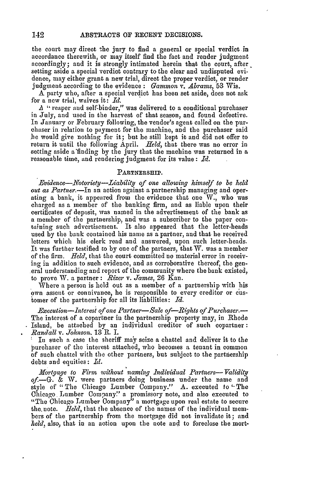the court may direct the jury to find a general or special verdict in accordance therewith, or may itself find the fact and render judgment accordingly; and it is strongly intimated herein that the court, after setting aside a special verdict contrary to the clear and undisputed evidence, may either grant a new trial, direct the proper verdict, or render judgment according to the evidence **:** *Gammon* v. *Abrams,* 53 Wis.

**A** party who, after a special verdict has been set aside, does not ask for a new trial, waives it: *Id.*

A " reaper and self-binder," was delivered to a conditional purchaser in July, and used in the harvest of that season, and found defective. In January or February following, the vendor's agent called on the purchaser in relation to payment for the machine, and the purchaser said be would give nothing for it; but he still kept it and did not offer to return it until the following April. *Held*, that there was no error in setting aside a'finding by the jury that the machine was returned in a reasonable time, and rendering judgment for its value: *Id.*

## PARTNERSHIP.

*Evidence-Notoriety-Liability of one allowing himself to be held out as Partner.-In* an action against a partnership managing and operating a bank, it appeared from the evidence that one W., who was charged as a member of the banking firm, and as liable upon their certificates of deposit, was named in the advertisement of the bank as a member of the partnership, and was a subscriber to the paper containing such advertisement. It also appeared that the letter-heads used by the bank contained his name as a partner, and that he received letters which his clerk read and answered, upon such letter-heads. It was further testified to by one of the partners, that W. was a member of the firm. *Hield,* that the court committed no material error in receiving in addition to such evidence, and as corroborative thereof, the general understanding and report of the community where the bank existed, to prove W. a partner : *Rizer v. James,* 26 Kan.

Where a person is held out as a member of a partnership with his own assent or connivance, he is responsible to every creditor or customer of the partnership for all its liabilities: *Id.*

*Execution-Interest of one Partner-Sale of-Rights of Purchaser.-* The interest of a copartner in the partnership property may, in Rhode Island, be attached by an individual creditor of such copartner: *Randall v. Johnson.* 13 R. I.

In such a case the sheriff may seize a chattel and deliver it to the purchaser of the interest attached, who becomes a tenant in common of such chattel with the other partners, but subject to the partnership debts and equities:  $Id.$ 

*lfortgage to Firm without naming Individual Partners- Validity of.-G. &* W. were partners doing business under the name and style of "The Chicago Lumber Company." A. executed to "The Chicago Lumber Company" a promissory note, and also executed to "The Chicago Lumber Company" a mortgage upon real estate to secure the.note. *Held,* that the absence of the names of the individual members of the partnership from the mortgage did not invalidate it; and *held,* also, that in an action upon the note and to foreclose the mort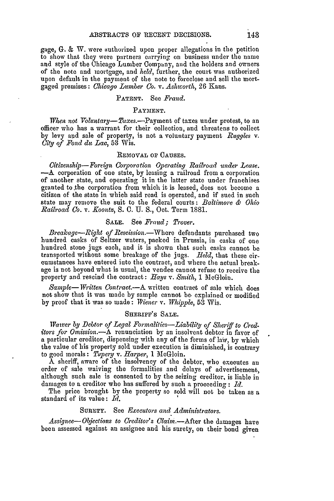gage, **G.** & W. were authorized upon proper allegations in the petition to show that they were partners carrying on business under the name and style of the Chicago Lumber Company, and the holders and owners of the note and mortgage, and *held,* further, the court was authorized upon default in the payment of the note to foreclose and sell the mortgaged premises: *Chicago Lumber Co. v. Ashworth,* 26 Kans.

### PATENT. See *Fraud.*

### PAYMENT.

*When not Voluntary-Taxes.*--Payment of taxes under protest, to an officer who has a warrant for their collection, and threatens to collect by levy and sale of property, is not a voluntary payment *Ruggles v. City of Fond du Lac,* 53 Wis.

## REMOVAL **OF** CAUSES.

*Citizenship-Foreign Corporation Operating Railroad under Lease.* **-A** corporation of one state, by leasing a railroad from a corporation of another state, and operating it in the latter state under franchises granted to.the corporation from which it is leased, does not become a citizen of the state in which said road is operated, and if sued in such state may remove the suit to the federal courts: *Baltimore & Ohio Railroad Co. v. Xoontz,* S. C. U. **S.,** Oct. Term 1881.

# SALE. See *Fraud; Trover.*

*Breakage-Right of Rescission.-Where* defendants purchased two hundred casks of Seltzer waters, packed in Prussia, in casks of one hundred stone jugs each, and it is shown that such casks cannot be transported without some breakage of the jugs. *Held,* that these circumstances have entered into the contract, and where the actual breakage is not beyond what is usual, the vendee cannot refuse to receive the property and rescind the contract: *Hays v. Smith,* 1 MeGloin.

*Sample-Written Contract.-A* written contract of sale which does not show that it was made by sample cannot *be-* explained or modified by proof that it was so made: *TWiener* v. *Whipple,* 53 Wis.

## SHERIFF'S **SALE.**

*Waiver by Debtor of Legal Formalities-Liability of Sheriff to Creditors for Omission.-A* renunciation by an insolvent debtor in favor of a particular creditor, dispensing with any of the forms of law, by which the value of his property sold under execution is diminished, is contrary to good morals: *Tupery v. Harper*, 1 McGloin.

**A** sheriff, aware of the insolvency of the debtor, who executes an order of sale waiving the formalities and delays of advertisement, although such sale is consented to by the seizing creditor, is liable in damages to a creditor who has suffered by such a proceeding : Id.

The price brought by the property so sold will not be taken as a standard of its value: *Id.*

# SURETY. See *Executors and Administrators.*

*Assignee- Objections to Creditor's Claim.-After* the damages have been assessed against an assignee and his surety, on their bond given